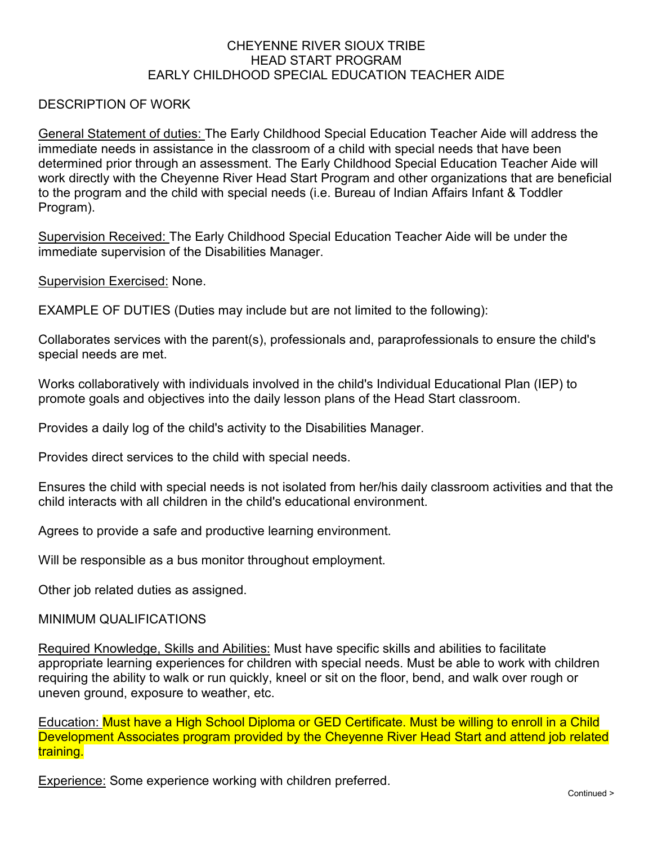## CHEYENNE RIVER SIOUX TRIBE HEAD START PROGRAM EARLY CHILDHOOD SPECIAL EDUCATION TEACHER AIDE

## DESCRIPTION OF WORK

General Statement of duties: The Early Childhood Special Education Teacher Aide will address the immediate needs in assistance in the classroom of a child with special needs that have been determined prior through an assessment. The Early Childhood Special Education Teacher Aide will work directly with the Cheyenne River Head Start Program and other organizations that are beneficial to the program and the child with special needs (i.e. Bureau of Indian Affairs Infant & Toddler Program).

Supervision Received: The Early Childhood Special Education Teacher Aide will be under the immediate supervision of the Disabilities Manager.

Supervision Exercised: None.

EXAMPLE OF DUTIES (Duties may include but are not limited to the following):

Collaborates services with the parent(s), professionals and, paraprofessionals to ensure the child's special needs are met.

Works collaboratively with individuals involved in the child's Individual Educational Plan (IEP) to promote goals and objectives into the daily lesson plans of the Head Start classroom.

Provides a daily log of the child's activity to the Disabilities Manager.

Provides direct services to the child with special needs.

Ensures the child with special needs is not isolated from her/his daily classroom activities and that the child interacts with all children in the child's educational environment.

Agrees to provide a safe and productive learning environment.

Will be responsible as a bus monitor throughout employment.

Other job related duties as assigned.

## MINIMUM QUALIFICATIONS

Required Knowledge, Skills and Abilities: Must have specific skills and abilities to facilitate appropriate learning experiences for children with special needs. Must be able to work with children requiring the ability to walk or run quickly, kneel or sit on the floor, bend, and walk over rough or uneven ground, exposure to weather, etc.

Education: Must have a High School Diploma or GED Certificate. Must be willing to enroll in a Child Development Associates program provided by the Cheyenne River Head Start and attend job related training.

Experience: Some experience working with children preferred.